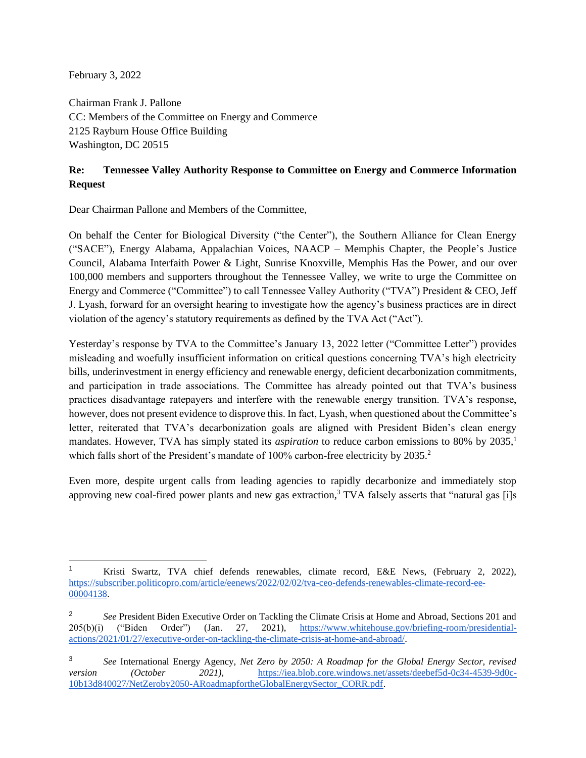February 3, 2022

Chairman Frank J. Pallone CC: Members of the Committee on Energy and Commerce 2125 Rayburn House Office Building Washington, DC 20515

## **Re: Tennessee Valley Authority Response to Committee on Energy and Commerce Information Request**

Dear Chairman Pallone and Members of the Committee,

On behalf the Center for Biological Diversity ("the Center"), the Southern Alliance for Clean Energy ("SACE"), Energy Alabama, Appalachian Voices, NAACP – Memphis Chapter, the People's Justice Council, Alabama Interfaith Power & Light, Sunrise Knoxville, Memphis Has the Power, and our over 100,000 members and supporters throughout the Tennessee Valley, we write to urge the Committee on Energy and Commerce ("Committee") to call Tennessee Valley Authority ("TVA") President & CEO, Jeff J. Lyash, forward for an oversight hearing to investigate how the agency's business practices are in direct violation of the agency's statutory requirements as defined by the TVA Act ("Act").

Yesterday's response by TVA to the Committee's January 13, 2022 letter ("Committee Letter") provides misleading and woefully insufficient information on critical questions concerning TVA's high electricity bills, underinvestment in energy efficiency and renewable energy, deficient decarbonization commitments, and participation in trade associations. The Committee has already pointed out that TVA's business practices disadvantage ratepayers and interfere with the renewable energy transition. TVA's response, however, does not present evidence to disprove this. In fact, Lyash, when questioned about the Committee's letter, reiterated that TVA's decarbonization goals are aligned with President Biden's clean energy mandates. However, TVA has simply stated its *aspiration* to reduce carbon emissions to 80% by 2035,<sup>1</sup> which falls short of the President's mandate of 100% carbon-free electricity by 2035.<sup>2</sup>

Even more, despite urgent calls from leading agencies to rapidly decarbonize and immediately stop approving new coal-fired power plants and new gas extraction,<sup>3</sup> TVA falsely asserts that "natural gas [i]s

<sup>1</sup> Kristi Swartz, TVA chief defends renewables, climate record, E&E News, (February 2, 2022)[,](https://www.eenews.net/articles/emails-docs-show-tvas-ties-to-fight-against-federal-regs/) [https://subscriber.politicopro.com/article/eenews/2022/02/02/tva-ceo-defends-renewables-climate-record-ee-](https://subscriber.politicopro.com/article/eenews/2022/02/02/tva-ceo-defends-renewables-climate-record-ee-00004138)[00004138.](https://subscriber.politicopro.com/article/eenews/2022/02/02/tva-ceo-defends-renewables-climate-record-ee-00004138)

<sup>2</sup> *See* President Biden Executive Order on Tackling the Climate Crisis at Home and Abroad, Sections 201 and 205(b)(i) ("Biden Order") (Jan. 27, 2021), [https://www.whitehouse.gov/briefing-room/presidential](https://www.whitehouse.gov/briefing-room/presidential-actions/2021/01/27/executive-order-on-tackling-the-climate-crisis-at-home-and-abroad/)[actions/2021/01/27/executive-order-on-tackling-the-climate-crisis-at-home-and-abroad/.](https://www.whitehouse.gov/briefing-room/presidential-actions/2021/01/27/executive-order-on-tackling-the-climate-crisis-at-home-and-abroad/)

<sup>3</sup> *See* International Energy Agency, *Net Zero by 2050: A Roadmap for the Global Energy Sector, revised version* (October 2021), [https://iea.blob.core.windows.net/assets/deebef5d-0c34-4539-9d0c-](https://iea.blob.core.windows.net/assets/deebef5d-0c34-4539-9d0c-10b13d840027/NetZeroby2050-ARoadmapfortheGlobalEnergySector_CORR.pdf)[10b13d840027/NetZeroby2050-ARoadmapfortheGlobalEnergySector\\_CORR.pdf.](https://iea.blob.core.windows.net/assets/deebef5d-0c34-4539-9d0c-10b13d840027/NetZeroby2050-ARoadmapfortheGlobalEnergySector_CORR.pdf)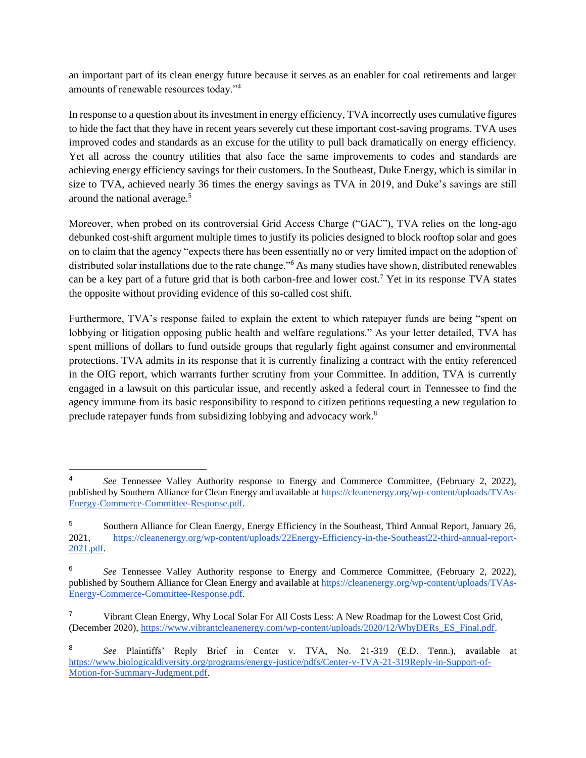an important part of its clean energy future because it serves as an enabler for coal retirements and larger amounts of renewable resources today."<sup>4</sup>

In response to a question about its investment in energy efficiency, TVA incorrectly uses cumulative figures to hide the fact that they have in recent years severely cut these important cost-saving programs. TVA uses improved codes and standards as an excuse for the utility to pull back dramatically on energy efficiency. Yet all across the country utilities that also face the same improvements to codes and standards are achieving energy efficiency savings for their customers. In the Southeast, Duke Energy, which is similar in size to TVA, achieved nearly 36 times the energy savings as TVA in 2019, and Duke's savings are still around the national average.<sup>5</sup>

Moreover, when probed on its controversial Grid Access Charge ("GAC"), TVA relies on the long-ago debunked cost-shift argument multiple times to justify its policies designed to block rooftop solar and goes on to claim that the agency "expects there has been essentially no or very limited impact on the adoption of distributed solar installations due to the rate change."<sup>6</sup> As many studies have shown, distributed renewables can be a key part of a future grid that is both carbon-free and lower cost.<sup>7</sup> Yet in its response TVA states the opposite without providing evidence of this so-called cost shift.

Furthermore, TVA's response failed to explain the extent to which ratepayer funds are being "spent on lobbying or litigation opposing public health and welfare regulations." As your letter detailed, TVA has spent millions of dollars to fund outside groups that regularly fight against consumer and environmental protections. TVA admits in its response that it is currently finalizing a contract with the entity referenced in the OIG report, which warrants further scrutiny from your Committee. In addition, TVA is currently engaged in a lawsuit on this particular issue, and recently asked a federal court in Tennessee to find the agency immune from its basic responsibility to respond to citizen petitions requesting a new regulation to preclude ratepayer funds from subsidizing lobbying and advocacy work.<sup>8</sup>

<sup>4</sup> *See* Tennessee Valley Authority response to Energy and Commerce Committee, (February 2, 2022), published by Southern Alliance for Clean Energy and available at [https://cleanenergy.org/wp-content/uploads/TVAs-](https://cleanenergy.org/wp-content/uploads/TVAs-Energy-Commerce-Committee-Response.pdf)[Energy-Commerce-Committee-Response.pdf.](https://cleanenergy.org/wp-content/uploads/TVAs-Energy-Commerce-Committee-Response.pdf)

<sup>5</sup> Southern Alliance for Clean Energy, Energy Efficiency in the Southeast, Third Annual Report, January 26, 2021, [https://cleanenergy.org/wp-content/uploads/22Energy-Efficiency-in-the-Southeast22-third-annual-report-](https://cleanenergy.org/wp-content/uploads/22Energy-Efficiency-in-the-Southeast22-third-annual-report-2021.pdf)[2021.pdf.](https://cleanenergy.org/wp-content/uploads/22Energy-Efficiency-in-the-Southeast22-third-annual-report-2021.pdf)

<sup>6</sup> *See* Tennessee Valley Authority response to Energy and Commerce Committee, (February 2, 2022), published by Southern Alliance for Clean Energy and available at [https://cleanenergy.org/wp-content/uploads/TVAs-](https://cleanenergy.org/wp-content/uploads/TVAs-Energy-Commerce-Committee-Response.pdf)[Energy-Commerce-Committee-Response.pdf.](https://cleanenergy.org/wp-content/uploads/TVAs-Energy-Commerce-Committee-Response.pdf)

<sup>&</sup>lt;sup>7</sup> Vibrant Clean Energy, Why Local Solar For All Costs Less: A New Roadmap for the Lowest Cost Grid, (December 2020), [https://www.vibrantcleanenergy.com/wp-content/uploads/2020/12/WhyDERs\\_ES\\_Final.pdf.](https://www.vibrantcleanenergy.com/wp-content/uploads/2020/12/WhyDERs_ES_Final.pdf)

<sup>8</sup> *See* Plaintiffs' Reply Brief in Center v. TVA, No. 21-319 (E.D. Tenn.), available at [https://www.biologicaldiversity.org/programs/energy-justice/pdfs/Center-v-TVA-21-319Reply-in-Support-of-](https://www.biologicaldiversity.org/programs/energy-justice/pdfs/Center-v-TVA-21-319Reply-in-Support-of-Motion-for-Summary-Judgment.pdf)[Motion-for-Summary-Judgment.pdf.](https://www.biologicaldiversity.org/programs/energy-justice/pdfs/Center-v-TVA-21-319Reply-in-Support-of-Motion-for-Summary-Judgment.pdf)